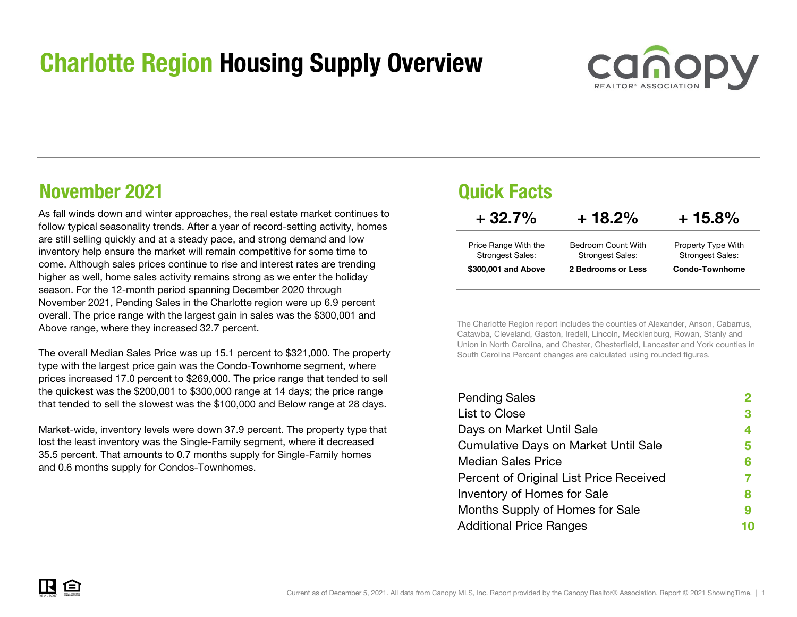## Charlotte Region Housing Supply Overview



## November 2021

As fall winds down and winter approaches, the real estate market continues to follow typical seasonality trends. After a year of record-setting activity, homes are still selling quickly and at a steady pace, and strong demand and low inventory help ensure the market will remain competitive for some time to come. Although sales prices continue to rise and interest rates are trending higher as well, home sales activity remains strong as we enter the holiday season. For the 12-month period spanning December 2020 through November 2021, Pending Sales in the Charlotte region were up 6.9 percent overall. The price range with the largest gain in sales was the \$300,001 and Above range, where they increased 32.7 percent.

The overall Median Sales Price was up 15.1 percent to \$321,000. The property type with the largest price gain was the Condo-Townhome segment, where prices increased 17.0 percent to \$269,000. The price range that tended to sell the quickest was the \$200,001 to \$300,000 range at 14 days; the price range that tended to sell the slowest was the \$100,000 and Below range at 28 days.

Market-wide, inventory levels were down 37.9 percent. The property type that lost the least inventory was the Single-Family segment, where it decreased 35.5 percent. That amounts to 0.7 months supply for Single-Family homes and 0.6 months supply for Condos-Townhomes.

## Quick Facts

| $+32.7\%$                                       | $+18.2\%$                                     | $+15.8\%$                                     |  |  |
|-------------------------------------------------|-----------------------------------------------|-----------------------------------------------|--|--|
| Price Range With the<br><b>Strongest Sales:</b> | Bedroom Count With<br><b>Strongest Sales:</b> | Property Type With<br><b>Strongest Sales:</b> |  |  |
| \$300,001 and Above                             | 2 Bedrooms or Less                            | <b>Condo-Townhome</b>                         |  |  |

The Charlotte Region report includes the counties of Alexander, Anson, Cabarrus, Catawba, Cleveland, Gaston, Iredell, Lincoln, Mecklenburg, Rowan, Stanly and Union in North Carolina, and Chester, Chesterfield, Lancaster and York counties in South Carolina Percent changes are calculated using rounded figures.

| <b>Pending Sales</b>                        |   |
|---------------------------------------------|---|
| List to Close                               | 3 |
| Days on Market Until Sale                   | 4 |
| <b>Cumulative Days on Market Until Sale</b> | 5 |
| <b>Median Sales Price</b>                   | 6 |
| Percent of Original List Price Received     |   |
| Inventory of Homes for Sale                 | 8 |
| Months Supply of Homes for Sale             | 9 |
| <b>Additional Price Ranges</b>              |   |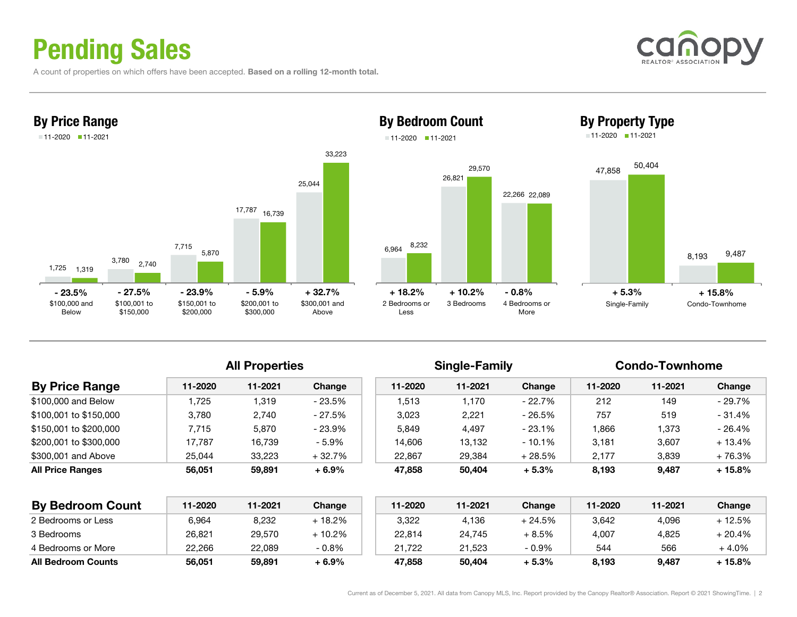# Pending Sales

A count of properties on which offers have been accepted. Based on a rolling 12-month total.





### By Bedroom Count 11-2020 11-2021





| <b>By Price Range</b>  | 11-2020 | 11-2021 | Change   | 11-2020 | 11-2021 | Change    | 11-2020 | 11-2021 | Change   |
|------------------------|---------|---------|----------|---------|---------|-----------|---------|---------|----------|
| \$100,000 and Below    | .725    | 1,319   | - 23.5%  | 1.513   | 1.170   | - 22.7%   | 212     | 149     | - 29.7%  |
| \$100.001 to \$150.000 | 3.780   | 2.740   | - 27.5%  | 3.023   | 2.221   | - 26.5%   | 757     | 519     | $-31.4%$ |
| \$150.001 to \$200.000 | 7.715   | 5.870   | $-23.9%$ | 5.849   | 4.497   | $-23.1\%$ | .866    | 1,373   | $-26.4%$ |
| \$200.001 to \$300.000 | 17.787  | 16.739  | $-5.9%$  | 14.606  | 13.132  | $-10.1\%$ | 3.181   | 3,607   | $+13.4%$ |
| \$300,001 and Above    | 25.044  | 33.223  | $+32.7%$ | 22.867  | 29,384  | + 28.5%   | 2,177   | 3,839   | $+76.3%$ |
| All Price Ranges       | 56.051  | 59.891  | $+6.9%$  | 47,858  | 50,404  | $+5.3%$   | 8,193   | 9,487   | $+15.8%$ |

| <b>By Bedroom Count</b>   | 11-2020 | 11-2021 | Change  | 11-2020 | 11-2021 | <b>Change</b> | 11-2020 | 11-2021 | Change  |
|---------------------------|---------|---------|---------|---------|---------|---------------|---------|---------|---------|
| 2 Bedrooms or Less        | 6,964   | 8,232   | + 18.2% | 3,322   | 4,136   | + 24.5%       | 3,642   | 4,096   | + 12.5% |
| 3 Bedrooms                | 26.821  | 29,570  | + 10.2% | 22,814  | 24.745  | + 8.5%        | 4,007   | 4,825   | + 20.4% |
| 4 Bedrooms or More        | 22.266  | 22.089  | $-0.8%$ | 21.722  | 21.523  | $-0.9%$       | 544     | 566     | + 4.0%  |
| <b>All Bedroom Counts</b> | 56,051  | 59,891  | + 6.9%  | 47.858  | 50,404  | + 5.3%        | 8,193   | 9,487   | + 15.8% |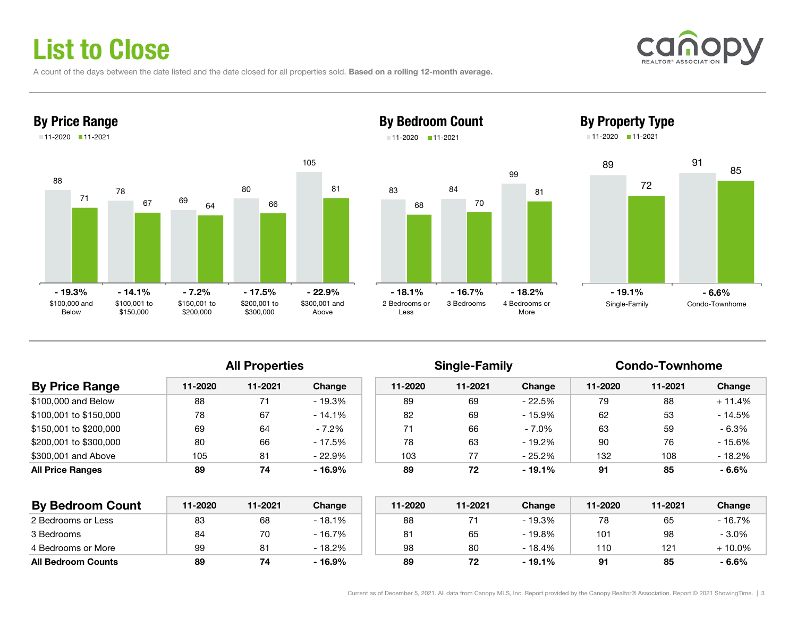# List to Close

A count of the days between the date listed and the date closed for all properties sold. Based on a rolling 12-month average.





### By Bedroom Count 11-2020 11-2021





11-2020 11-2021



| <b>By Price Range</b>   | 11-2020 | 11-2021 | Change   | 11-2020 | 11-2021 | Change   | 11-2020 | 11-2021 | Change   |  |
|-------------------------|---------|---------|----------|---------|---------|----------|---------|---------|----------|--|
| \$100,000 and Below     | 88      |         | $-19.3%$ | 89      | 69      | - 22.5%  | 79      | 88      | $+11.4%$ |  |
| \$100,001 to \$150,000  | 78      | 67      | $-14.1%$ | 82      | 69      | - 15.9%  | 62      | 53      | $-14.5%$ |  |
| \$150,001 to \$200,000  | 69      | 64      | $-7.2%$  | 71      | 66      | $-7.0\%$ | 63      | 59      | $-6.3%$  |  |
| \$200,001 to \$300,000  | 80      | 66      | - 17.5%  | 78      | 63      | - 19.2%  | 90      | 76      | $-15.6%$ |  |
| \$300,001 and Above     | 105     | 81      | $-22.9%$ | 103     | 77      | - 25.2%  | 132     | 108     | $-18.2%$ |  |
| <b>All Price Ranges</b> | 89      | 74      | $-16.9%$ | 89      | 72      | - 19.1%  | 91      | 85      | $-6.6%$  |  |
|                         |         |         |          |         |         |          |         |         |          |  |

| <b>By Bedroom Count</b>   | 11-2020 | 11-2021 | Change   | 11-2020 | 11-2021 | Change   | 11-2020 | 11-2021 | Change  |
|---------------------------|---------|---------|----------|---------|---------|----------|---------|---------|---------|
| 2 Bedrooms or Less        | 83      | 68      | $-18.1%$ | 88      |         | - 19.3%  | 78      | 65      | - 16.7% |
| 3 Bedrooms                | 84      | 70      | $-16.7%$ | 81      | 65      | $-19.8%$ | 101     | 98      | $-3.0%$ |
| 4 Bedrooms or More        | 99      |         | $-18.2%$ | 98      | 80      | $-18.4%$ | 110     | 121     | ⊦ 10.0% |
| <b>All Bedroom Counts</b> | 89      |         | $-16.9%$ | 89      |         | $-19.1%$ | 91      | 85      | $-6.6%$ |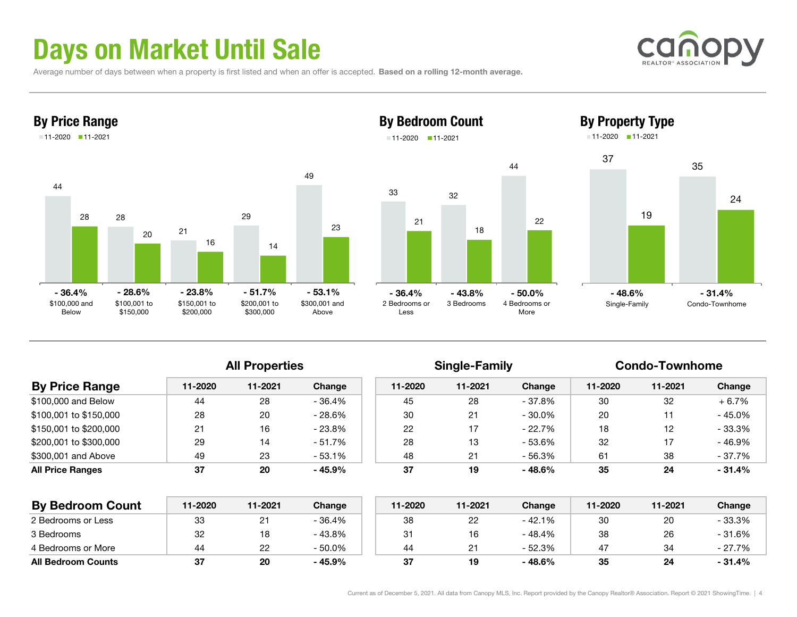# Days on Market Until Sale

Average number of days between when a property is first listed and when an offer is accepted. Based on a rolling 12-month average.





### By Bedroom Count 11-2020 11-2021





| <b>By Price Range</b>  | 11-2020 | 11-2021 | Change   | 11-2020 | 11-2021 | Change    | 11-2020 | 11-2021 | Change   |
|------------------------|---------|---------|----------|---------|---------|-----------|---------|---------|----------|
| \$100,000 and Below    | 44      | 28      | $-36.4%$ | 45      | 28      | - 37.8%   | 30      | 32      | $+6.7%$  |
| \$100.001 to \$150.000 | 28      | 20      | $-28.6%$ | 30      | 21      | - 30.0%   | 20      |         | $-45.0%$ |
| \$150.001 to \$200.000 | 21      | 16      | $-23.8%$ | 22      |         | $-22.7\%$ | 18      | 12      | $-33.3%$ |
| \$200,001 to \$300,000 | 29      | 14      | $-51.7%$ | 28      | 13      | - 53.6%   | 32      |         | $-46.9%$ |
| \$300,001 and Above    | 49      | 23      | $-53.1%$ | 48      | 21      | - 56.3%   | 61      | 38      | $-37.7%$ |
| All Price Ranges       | -37     | 20      | - 45.9%  | 37      | 19      | $-48.6%$  | 35      | 24      | - 31.4%  |
|                        |         |         |          |         |         |           |         |         |          |

| <b>By Bedroom Count</b>   | 11-2020 | 11-2021  | Change    | 11-2020 | 11-2021 | Change   | 11-2020 | 11-2021 | Change  |
|---------------------------|---------|----------|-----------|---------|---------|----------|---------|---------|---------|
| 2 Bedrooms or Less        | 33      | <u>.</u> | - 36.4%   | 38      |         | $-42.1%$ | 30      | 20      | - 33.3% |
| 3 Bedrooms                | 32      | 18       | $-43.8%$  | 31      | 16      | - 48.4%  | 38      | 26      | - 31.6% |
| 4 Bedrooms or More        | 44      | 22       | $-50.0\%$ | 44      |         | $-52.3%$ | 47      | 34      | - 27.7% |
| <b>All Bedroom Counts</b> | 37      | 20       | $-45.9%$  | 37      | 19      | $-48.6%$ | 35      | 24      | - 31.4% |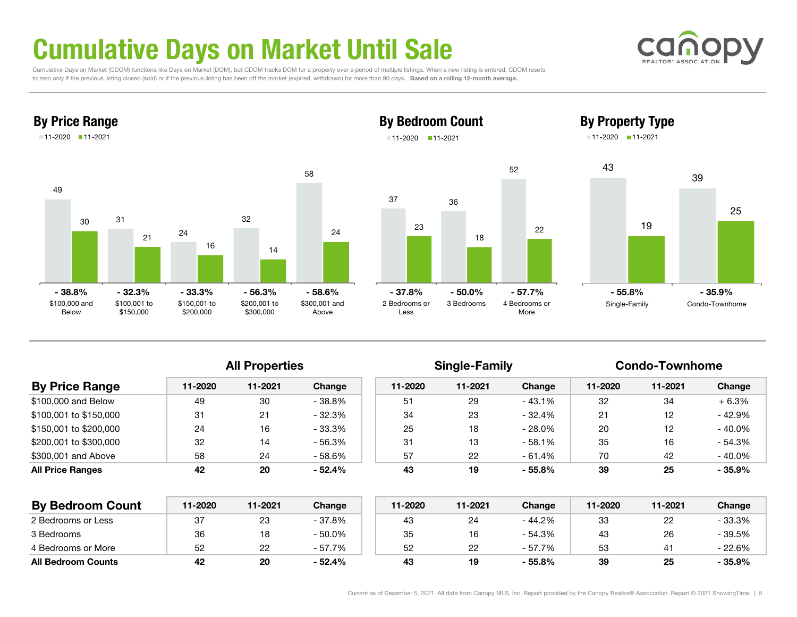# Cumulative Days on Market Until Sale

 Cumulative Days on Market (CDOM) functions like Days on Market (DOM), but CDOM tracks DOM for a property over a period of multiple listings. When a new listing is entered, CDOM resets to zero only if the previous listing closed (sold) or if the previous listing has been off the market (expired, withdrawn) for more than 90 days. Based on a rolling 12-month average.





### By Bedroom Count 11-2020 11-2021









| <b>By Price Range</b>   | 11-2020 | 11-2021 | Change    | 11-2020 | 11-2021 | Change   | 11-2020 | 11-2021 | Change    |
|-------------------------|---------|---------|-----------|---------|---------|----------|---------|---------|-----------|
| \$100,000 and Below     | 49      | 30      | $-38.8%$  | 51      | 29      | - 43.1%  | 32      | 34      | $+6.3%$   |
| \$100.001 to \$150.000  | 31      | 21      | $-32.3%$  | 34      | 23      | - 32.4%  | 21      | 12      | - 42.9%   |
| \$150.001 to \$200.000  | 24      | 16      | $-33.3\%$ | 25      | 18      | - 28.0%  | 20      | 12      | $-40.0\%$ |
| \$200,001 to \$300,000  | 32      | 14      | - 56.3%   | 31      | 13      | $-58.1%$ | 35      | 16      | $-54.3%$  |
| \$300,001 and Above     | 58      | 24      | - 58.6%   | 57      | 22      | - 61.4%  | 70      | 42      | $-40.0\%$ |
| <b>All Price Ranges</b> | 42      | 20      | $-52.4%$  | 43      | 19      | $-55.8%$ | 39      | 25      | $-35.9%$  |
|                         |         |         |           |         |         |          |         |         |           |

| <b>By Bedroom Count</b>   | 11-2020 | 11-2021 | Change    | 11-2020 | 11-2021 | Change   | 11-2020 | 11-2021 | Change    |
|---------------------------|---------|---------|-----------|---------|---------|----------|---------|---------|-----------|
| 2 Bedrooms or Less        | 37      | 23      | - 37.8%   | 43      |         | - 44.2%  | 33      |         | - 33.3%   |
| 3 Bedrooms                | 36      | 18      | $-50.0\%$ | 35      | 16      | - 54.3%  | 43      | 26      | $-39.5\%$ |
| 4 Bedrooms or More        | 52      | 22      | - 57.7%   | 52      | 22      | - 57.7%  | 53      |         | - 22.6%   |
| <b>All Bedroom Counts</b> | 42      | 20      | $-52.4%$  | 43      | 19      | $-55.8%$ | 39      | 25      | - 35.9%   |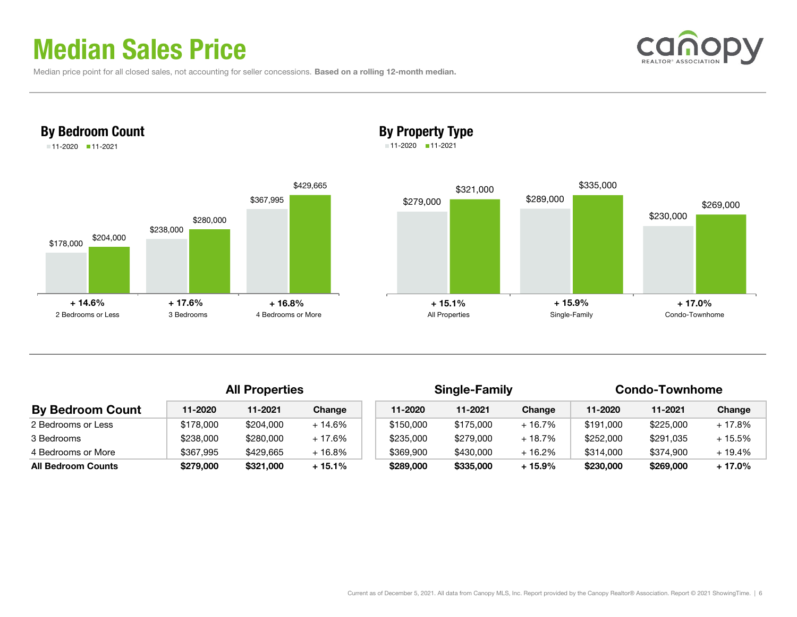## Median Sales Price

Median price point for all closed sales, not accounting for seller concessions. Based on a rolling 12-month median.



### By Property Type

11-2020 11-2021



|                           | <b>All Properties</b> |           |          |  | <b>Single-Family</b> |           |          | <b>Condo-Townhome</b> |           |          |
|---------------------------|-----------------------|-----------|----------|--|----------------------|-----------|----------|-----------------------|-----------|----------|
| <b>By Bedroom Count</b>   | 11-2020               | 11-2021   | Change   |  | 11-2020              | 11-2021   | Change   | 11-2020               | 11-2021   | Change   |
| 2 Bedrooms or Less        | \$178,000             | \$204,000 | $+14.6%$ |  | \$150,000            | \$175,000 | $+16.7%$ | \$191,000             | \$225,000 | $+17.8%$ |
| 3 Bedrooms                | \$238,000             | \$280,000 | + 17.6%  |  | \$235,000            | \$279,000 | $+18.7%$ | \$252,000             | \$291.035 | $+15.5%$ |
| 4 Bedrooms or More        | \$367,995             | \$429,665 | $+16.8%$ |  | \$369,900            | \$430,000 | $+16.2%$ | \$314,000             | \$374.900 | $+19.4%$ |
| <b>All Bedroom Counts</b> | \$279,000             | \$321,000 | $+15.1%$ |  | \$289,000            | \$335,000 | $+15.9%$ | \$230,000             | \$269,000 | $+17.0%$ |

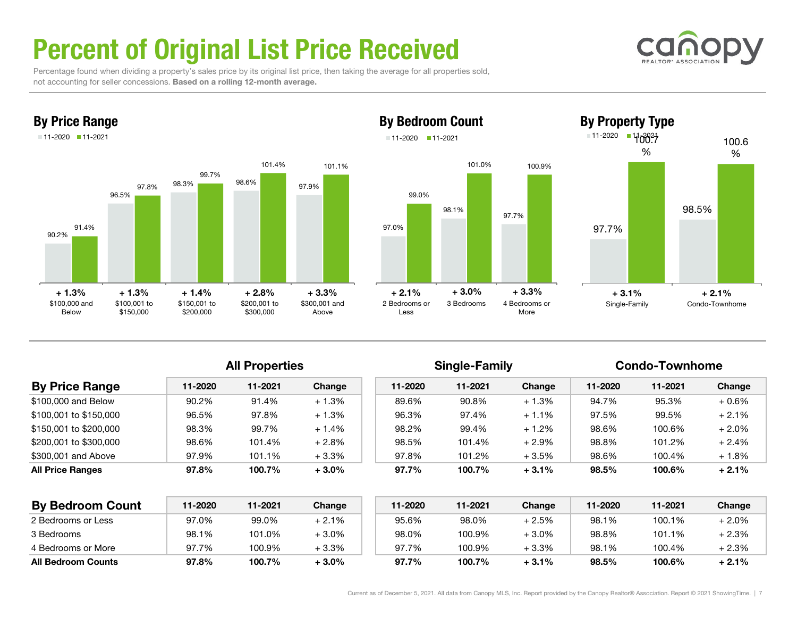# Percent of Original List Price Received



 Percentage found when dividing a property's sales price by its original list price, then taking the average for all properties sold, not accounting for seller concessions. Based on a rolling 12-month average.



By Price Range





|                         |         | <b>All Properties</b> |         |         | <b>Single-Family</b> |          | <b>Condo-Townhome</b> |         |          |
|-------------------------|---------|-----------------------|---------|---------|----------------------|----------|-----------------------|---------|----------|
| <b>By Price Range</b>   | 11-2020 | 11-2021               | Change  | 11-2020 | 11-2021              | Change   | 11-2020               | 11-2021 | Change   |
| \$100,000 and Below     | 90.2%   | 91.4%                 | $+1.3%$ | 89.6%   | 90.8%                | $+1.3%$  | 94.7%                 | 95.3%   | $+0.6%$  |
| \$100,001 to \$150,000  | 96.5%   | 97.8%                 | $+1.3%$ | 96.3%   | 97.4%                | $+1.1%$  | 97.5%                 | 99.5%   | $+2.1%$  |
| \$150,001 to \$200,000  | 98.3%   | 99.7%                 | $+1.4%$ | 98.2%   | 99.4%                | $+1.2%$  | 98.6%                 | 100.6%  | $+2.0%$  |
| \$200,001 to \$300,000  | 98.6%   | 101.4%                | $+2.8%$ | 98.5%   | 101.4%               | $+2.9\%$ | 98.8%                 | 101.2%  | $+2.4%$  |
| \$300,001 and Above     | 97.9%   | 101.1%                | $+3.3%$ | 97.8%   | 101.2%               | $+3.5%$  | 98.6%                 | 100.4%  | $+1.8\%$ |
| <b>All Price Ranges</b> | 97.8%   | 100.7%                | $+3.0%$ | 97.7%   | 100.7%               | $+3.1%$  | 98.5%                 | 100.6%  | $+2.1%$  |

| <b>By Bedroom Count</b>   | 11-2020 | 11-2021 | Change   | 11-2020 | 11-2021 | Change  | $11 - 2020$ | 11-2021 | Change   |
|---------------------------|---------|---------|----------|---------|---------|---------|-------------|---------|----------|
| 2 Bedrooms or Less        | 97.0%   | 99.0%   | $+2.1%$  | 95.6%   | 98.0%   | $+2.5%$ | 98.1%       | 100.1%  | $+2.0\%$ |
| 3 Bedrooms                | 98.1%   | 101.0%  | $+3.0\%$ | 98.0%   | 100.9%  | $+3.0%$ | 98.8%       | 101.1%  | + 2.3%   |
| 4 Bedrooms or More        | 97.7%   | 100.9%  | +3.3%    | 97.7%   | 100.9%  | $+3.3%$ | 98.1%       | 100.4%  | + 2.3%   |
| <b>All Bedroom Counts</b> | 97.8%   | 100.7%  | $+3.0\%$ | 97.7%   | 100.7%  | $+3.1%$ | 98.5%       | 100.6%  | $+2.1%$  |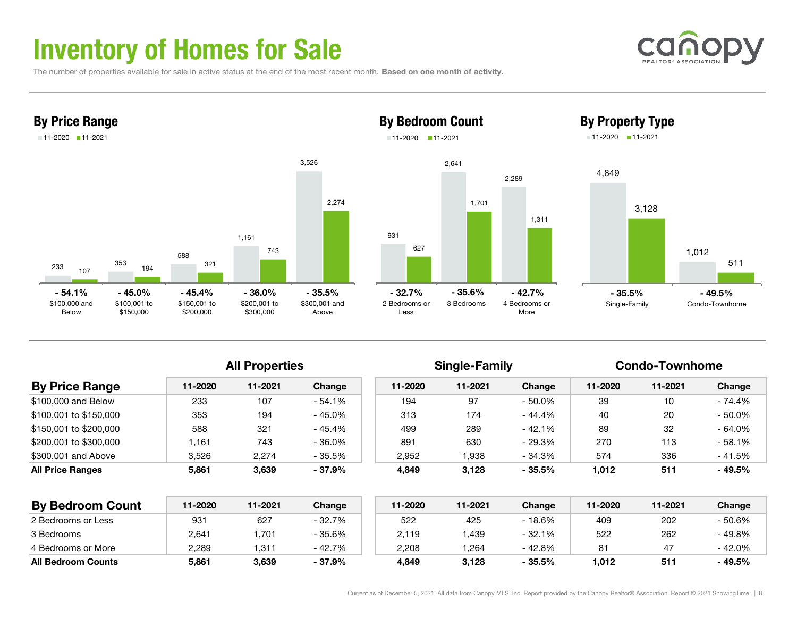## Inventory of Homes for Sale

The number of properties available for sale in active status at the end of the most recent month. Based on one month of activity.





## 9312,641 2,289 627 1,701 By Bedroom Count 11-2020 11-2021







### All Properties **Single-Family** Condo-Townhome

| <b>By Price Range</b>   | 11-2020 | 11-2021 | Change    | 11-2020 | 11-2021 | Change   | 11-2020 | 11-2021 | Change    |
|-------------------------|---------|---------|-----------|---------|---------|----------|---------|---------|-----------|
| \$100,000 and Below     | 233     | 107     | - 54.1%   | 194     | 97      | - 50.0%  | 39      | 10      | $-74.4%$  |
| \$100,001 to \$150,000  | 353     | 194     | - 45.0%   | 313     | 174     | - 44.4%  | 40      | 20      | $-50.0\%$ |
| \$150,001 to \$200,000  | 588     | 321     | - 45.4%   | 499     | 289     | - 42.1%  | 89      | 32      | $-64.0%$  |
| \$200,001 to \$300,000  | .161    | 743     | $-36.0\%$ | 891     | 630     | - 29.3%  | 270     | 113     | $-58.1%$  |
| \$300,001 and Above     | 3,526   | 2,274   | - 35.5%   | 2.952   | .938    | - 34.3%  | 574     | 336     | $-41.5%$  |
| <b>All Price Ranges</b> | 5,861   | 3,639   | - 37.9%   | 4,849   | 3,128   | $-35.5%$ | 1,012   | 511     | - 49.5%   |

| <b>By Bedroom Count</b>   | 11-2020 | 11-2021 | Change   | 11-2020 | 11-2021 | Change   | 11-2020 | 11-2021 | Change  |
|---------------------------|---------|---------|----------|---------|---------|----------|---------|---------|---------|
| 2 Bedrooms or Less        | 931     | 627     | $-32.7%$ | 522     | 425     | $-18.6%$ | 409     | 202     | - 50.6% |
| 3 Bedrooms                | 2,641   | .701    | - 35.6%  | 2,119   | ,439    | $-32.1%$ | 522     | 262     | - 49.8% |
| 4 Bedrooms or More        | 2.289   | .311    | - 42.7%  | 2.208   | 264. ا  | $-42.8%$ | 81      | -47     | - 42.0% |
| <b>All Bedroom Counts</b> | 5,861   | 3,639   | $-37.9%$ | 4,849   | 3,128   | $-35.5%$ | 1,012   | 511     | - 49.5% |

1,311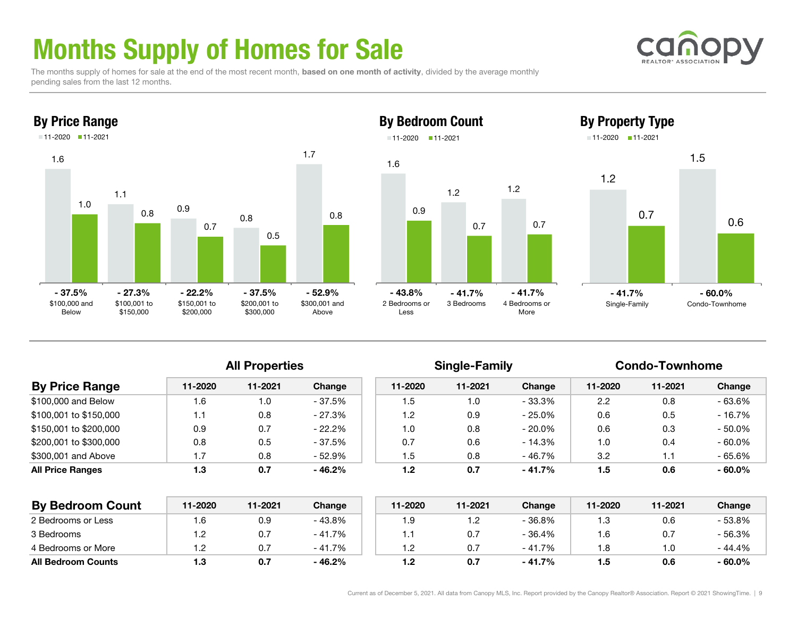# Months Supply of Homes for Sale

The months supply of homes for sale at the end of the most recent month, based on one month of activity, divided by the average monthly pending sales from the last 12 months.



### By Property Type 11-2020 11-2021





All Properties **Single-Family** Condo-Townhome

| <b>By Price Range</b>   | 11-2020 | 11-2021 | Change    | 11-2020 | 11-2021 | Change    | 11-2020 | 11-2021 | Change    |
|-------------------------|---------|---------|-----------|---------|---------|-----------|---------|---------|-----------|
| \$100,000 and Below     | .6      | 1.0     | - 37.5%   | 1.5     | 1.0     | - 33.3%   | 2.2     | 0.8     | - 63.6%   |
| \$100,001 to \$150,000  |         | 0.8     | $-27.3%$  | 1.2     | 0.9     | - 25.0%   | 0.6     | 0.5     | - 16.7%   |
| \$150,001 to \$200,000  | 0.9     | 0.7     | $-22.2\%$ | 1.0     | 0.8     | $-20.0\%$ | 0.6     | 0.3     | $-50.0\%$ |
| \$200,001 to \$300,000  | 0.8     | 0.5     | - 37.5%   | 0.7     | 0.6     | - 14.3%   | 1.0     | 0.4     | $-60.0\%$ |
| \$300,001 and Above     |         | 0.8     | - 52.9%   | 1.5     | 0.8     | - 46.7%   | 3.2     | 1.1     | - 65.6%   |
| <b>All Price Ranges</b> | 1.3     | 0.7     | $-46.2%$  | 1.2     | 0.7     | $-41.7%$  | 1.5     | 0.6     | $-60.0\%$ |
|                         |         |         |           |         |         |           |         |         |           |

Less

1.6

0.9

11-2020 11-2021

| <b>By Bedroom Count</b>   | 11-2020 | 11-2021 | Change   | 11-2020 | 11-2021    | Change   | 11-2020 | 11-2021 | Change    |
|---------------------------|---------|---------|----------|---------|------------|----------|---------|---------|-----------|
| 2 Bedrooms or Less        | 6. ا    | 0.9     | - 43.8%  | 9. ا    | $\cdot$ .2 | - 36.8%  | 1.3     | 0.6     | - 53.8%   |
| 3 Bedrooms                | ے .     | 0.7     | $-41.7%$ |         | 0.7        | $-36.4%$ | l.6     | 0.7     | - 56.3%   |
| 4 Bedrooms or More        |         |         | $-41.7%$ | 2. ا    | 0.7        | $-41.7%$ | 8. ا    | 0. ا    | $-44.4%$  |
| <b>All Bedroom Counts</b> | 1.3     | 0.7     | $-46.2%$ | 1.2     | 0.7        | $-41.7%$ | 1.5     | 0.6     | $-60.0\%$ |



1.5